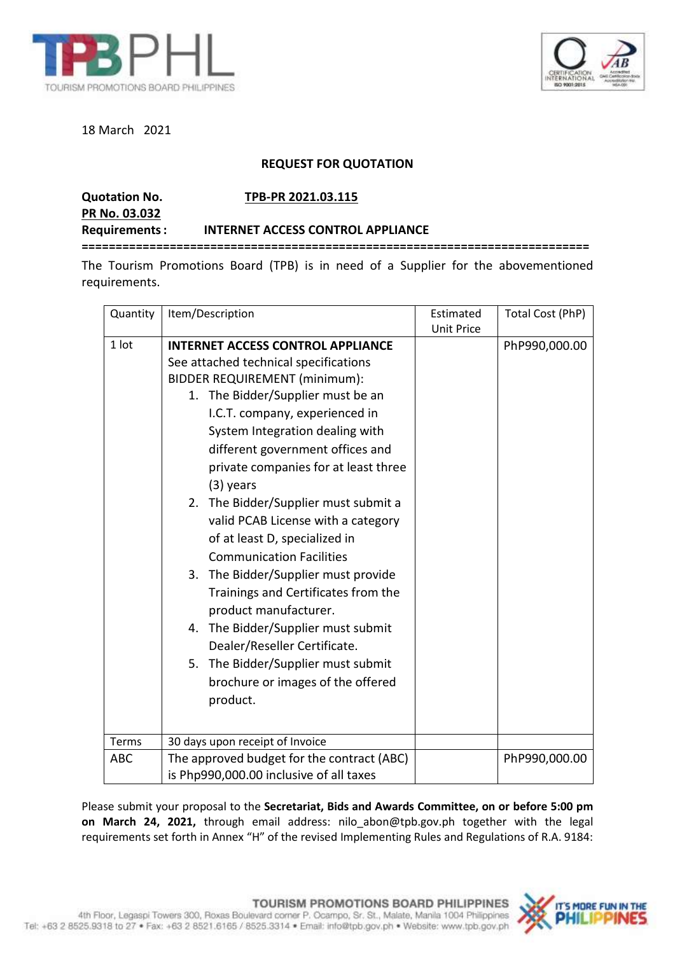



18 March 2021

## **REQUEST FOR QUOTATION**

**PR No. 03.032**

**Quotation No. TPB-PR 2021.03.115**

**Requirements: INTERNET ACCESS CONTROL APPLIANCE**

**===========================================================================**

The Tourism Promotions Board (TPB) is in need of a Supplier for the abovementioned requirements.

| Quantity   | Item/Description                           | Estimated         | Total Cost (PhP) |
|------------|--------------------------------------------|-------------------|------------------|
|            |                                            | <b>Unit Price</b> |                  |
| 1 lot      | <b>INTERNET ACCESS CONTROL APPLIANCE</b>   |                   | PhP990,000.00    |
|            | See attached technical specifications      |                   |                  |
|            | <b>BIDDER REQUIREMENT (minimum):</b>       |                   |                  |
|            | 1. The Bidder/Supplier must be an          |                   |                  |
|            | I.C.T. company, experienced in             |                   |                  |
|            | System Integration dealing with            |                   |                  |
|            | different government offices and           |                   |                  |
|            | private companies for at least three       |                   |                  |
|            | $(3)$ years                                |                   |                  |
|            | The Bidder/Supplier must submit a<br>2.    |                   |                  |
|            | valid PCAB License with a category         |                   |                  |
|            | of at least D, specialized in              |                   |                  |
|            | <b>Communication Facilities</b>            |                   |                  |
|            | 3. The Bidder/Supplier must provide        |                   |                  |
|            | Trainings and Certificates from the        |                   |                  |
|            | product manufacturer.                      |                   |                  |
|            | 4. The Bidder/Supplier must submit         |                   |                  |
|            | Dealer/Reseller Certificate.               |                   |                  |
|            | 5. The Bidder/Supplier must submit         |                   |                  |
|            | brochure or images of the offered          |                   |                  |
|            | product.                                   |                   |                  |
|            |                                            |                   |                  |
|            |                                            |                   |                  |
| Terms      | 30 days upon receipt of Invoice            |                   |                  |
| <b>ABC</b> | The approved budget for the contract (ABC) |                   | PhP990,000.00    |
|            | is Php990,000.00 inclusive of all taxes    |                   |                  |

Please submit your proposal to the **Secretariat, Bids and Awards Committee, on or before 5:00 pm on March 24, 2021,** through email address: nilo\_abon@tpb.gov.ph together with the legal requirements set forth in Annex "H" of the revised Implementing Rules and Regulations of R.A. 9184: